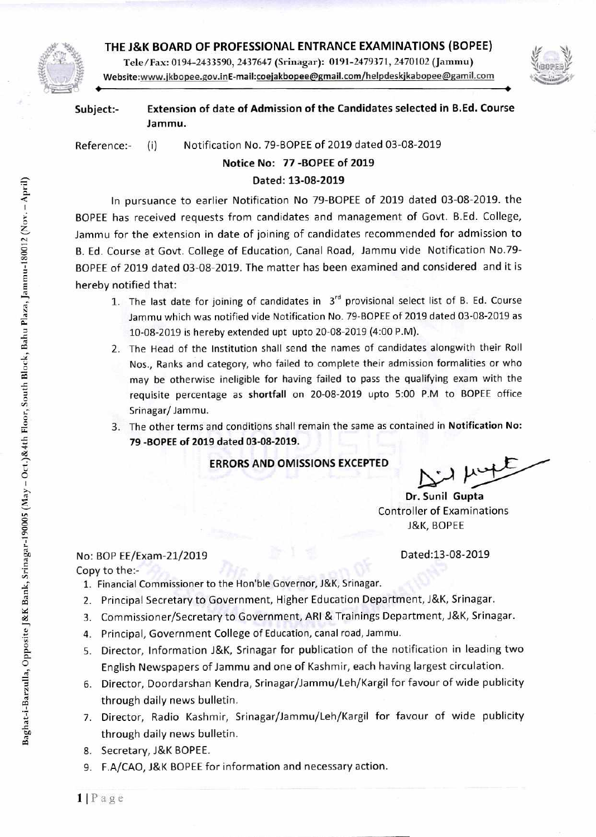### **THE J&K BOARD OF PROFESSIONAL ENTRANCE EXAMINATIONS (BOPEE)**





**Subject:- Extension of date of Admission of the Candidates selected in B.Ed. Course Jammu.** 

Reference:- (i) Notification No. 79-BOPEE of 2019 dated 03-08-2019

# **Notice No: 77 -BOPEE of 2019**

## **Dated: 13-08-2019**

In pursuance to earlier Notification No 79-BOPEE of 2019 dated 03-08-2019. the BOPEE has received requests from candidates and management of Govt. B.Ed. College, Jammu for the extension in date of joining of candidates recommended for admission to B. Ed. Course at Govt. College of Education, Canal Road, Jammu vide Notification No.79- BOPEE of 2019 dated 03-08-2019. The matter has been examined and considered and it is hereby notified that:

- 1. The last date for joining of candidates in  $3^{rd}$  provisional select list of B. Ed. Course Jammu which was notified vide Notification No. 79-BOPEE of 2019 dated 03-08-2019 as 10-08-2019 is hereby extended upt upto 20-08-2019 (4:00 P.M).
- 2. The Head of the Institution shall send the names of candidates alongwith their Roll Nos., Ranks and category, who failed to complete their admission formalities or who <sup>E</sup>requisite percentage as **shortfall** on 20-08-2019 upto 5:00 P.M to BOPEE office Srinagar/Jammu. may be otherwise ineligible for having failed to pass the qualifying exam with the
- z.: 3. The other terms and conditions shall remain the same as contained in **Notification No: 7:71 79 -BOPEE of 2019 dated 03-08-2019. z**

### **..; ERRORS AND OMISSIONS EXCEPTED**

Dr. Sunil Gupta Controller of Examinations J&K, BOPEE

#### No: BOP EE/Exam-21/2019 Dated:13-08-2019

Copy to the:-

- 1. Financial Commissioner to the Hon'ble Governor, J&K, Srinagar.
- 2. Principal Secretary to Government, Higher Education Department, J&K, Srinagar.
- 3. Commissioner/Secretary to Government, ARI & Trainings Department, J&K, Srinagar.
- 4. Principal, Government College of Education, canal road, Jammu.
- 5. Director, Information J&K, Srinagar for publication of the notification in leading two English Newspapers of Jammu and one of Kashmir, each having largest circulation.
- 6. Director, Doordarshan Kendra, Srinagar/Jammu/Leh/Kargil for favour of wide publicity through daily news bulletin.
- 7. Director, Radio Kashmir, Srinagar/Jammu/Leh/Kargil for favour of wide publicity through daily news bulletin.
- 8. Secretary, J&K BOPEE.
- 9. F.A/CAO, J&K BOPEE for information and necessary action.